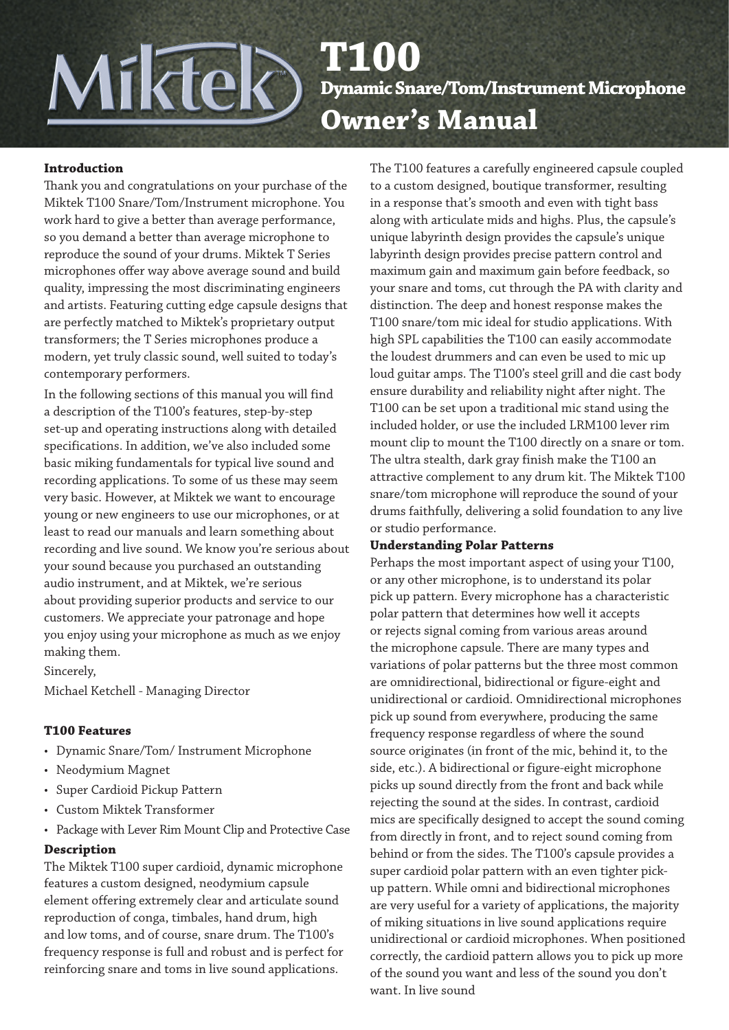# **T100 Dynamic Snare/Tom/Instrument Microphone Owner's Manual**

#### **Introduction**

Thank you and congratulations on your purchase of the Miktek T100 Snare/Tom/Instrument microphone. You work hard to give a better than average performance, so you demand a better than average microphone to reproduce the sound of your drums. Miktek T Series microphones offer way above average sound and build quality, impressing the most discriminating engineers and artists. Featuring cutting edge capsule designs that are perfectly matched to Miktek's proprietary output transformers; the T Series microphones produce a modern, yet truly classic sound, well suited to today's contemporary performers.

Miktek

In the following sections of this manual you will find a description of the T100's features, step-by-step set-up and operating instructions along with detailed specifications. In addition, we've also included some basic miking fundamentals for typical live sound and recording applications. To some of us these may seem very basic. However, at Miktek we want to encourage young or new engineers to use our microphones, or at least to read our manuals and learn something about recording and live sound. We know you're serious about your sound because you purchased an outstanding audio instrument, and at Miktek, we're serious about providing superior products and service to our customers. We appreciate your patronage and hope you enjoy using your microphone as much as we enjoy making them.

Sincerely,

Michael Ketchell - Managing Director

#### **T100 Features**

- Dynamic Snare/Tom/ Instrument Microphone
- Neodymium Magnet
- Super Cardioid Pickup Pattern
- Custom Miktek Transformer
- Package with Lever Rim Mount Clip and Protective Case

#### **Description**

The Miktek T100 super cardioid, dynamic microphone features a custom designed, neodymium capsule element offering extremely clear and articulate sound reproduction of conga, timbales, hand drum, high and low toms, and of course, snare drum. The T100's frequency response is full and robust and is perfect for reinforcing snare and toms in live sound applications.

The T100 features a carefully engineered capsule coupled to a custom designed, boutique transformer, resulting in a response that's smooth and even with tight bass along with articulate mids and highs. Plus, the capsule's unique labyrinth design provides the capsule's unique labyrinth design provides precise pattern control and maximum gain and maximum gain before feedback, so your snare and toms, cut through the PA with clarity and distinction. The deep and honest response makes the T100 snare/tom mic ideal for studio applications. With high SPL capabilities the T100 can easily accommodate the loudest drummers and can even be used to mic up loud guitar amps. The T100's steel grill and die cast body ensure durability and reliability night after night. The T100 can be set upon a traditional mic stand using the included holder, or use the included LRM100 lever rim mount clip to mount the T100 directly on a snare or tom. The ultra stealth, dark gray finish make the T100 an attractive complement to any drum kit. The Miktek T100 snare/tom microphone will reproduce the sound of your drums faithfully, delivering a solid foundation to any live or studio performance.

#### **Understanding Polar Patterns**

Perhaps the most important aspect of using your T100, or any other microphone, is to understand its polar pick up pattern. Every microphone has a characteristic polar pattern that determines how well it accepts or rejects signal coming from various areas around the microphone capsule. There are many types and variations of polar patterns but the three most common are omnidirectional, bidirectional or figure-eight and unidirectional or cardioid. Omnidirectional microphones pick up sound from everywhere, producing the same frequency response regardless of where the sound source originates (in front of the mic, behind it, to the side, etc.). A bidirectional or figure-eight microphone picks up sound directly from the front and back while rejecting the sound at the sides. In contrast, cardioid mics are specifically designed to accept the sound coming from directly in front, and to reject sound coming from behind or from the sides. The T100's capsule provides a super cardioid polar pattern with an even tighter pickup pattern. While omni and bidirectional microphones are very useful for a variety of applications, the majority of miking situations in live sound applications require unidirectional or cardioid microphones. When positioned correctly, the cardioid pattern allows you to pick up more of the sound you want and less of the sound you don't want. In live sound